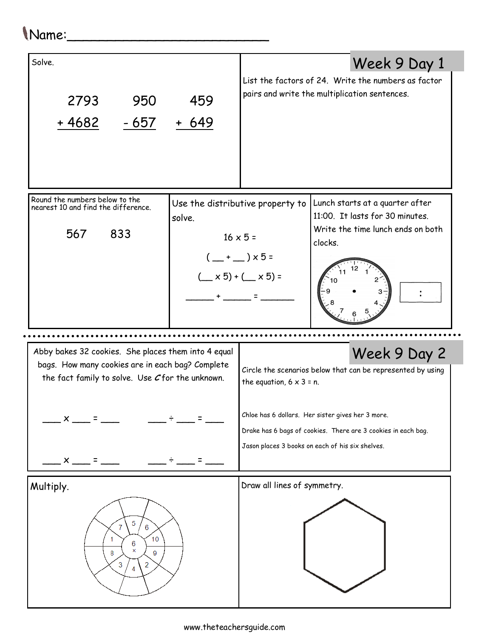## Name:\_\_\_\_\_\_\_\_\_\_\_\_\_\_\_\_\_\_\_\_\_\_\_\_\_

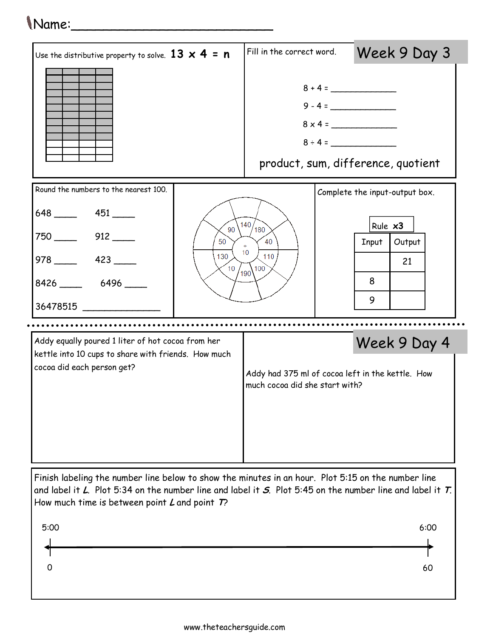## Name:\_\_\_\_\_\_\_\_\_\_\_\_\_\_\_\_\_\_\_\_\_\_\_\_\_



Finish labeling the number line below to show the minutes in an hour. Plot 5:15 on the number line and label it L. Plot 5:34 on the number line and label it S. Plot 5:45 on the number line and label it  $T$ . How much time is between point  $L$  and point  $T$ ?